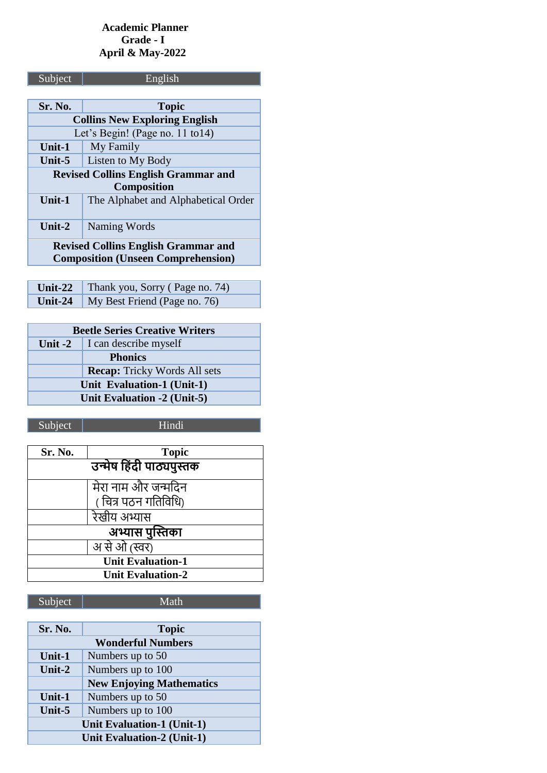### **Academic Planner Grade - I April & May-2022**

| Subject                                    | English                             |  |
|--------------------------------------------|-------------------------------------|--|
|                                            |                                     |  |
| Sr. No.                                    | <b>Topic</b>                        |  |
| <b>Collins New Exploring English</b>       |                                     |  |
|                                            | Let's Begin! (Page no. 11 to14)     |  |
| Unit-1                                     | My Family                           |  |
| Unit-5                                     | Listen to My Body                   |  |
| <b>Revised Collins English Grammar and</b> |                                     |  |
| <b>Composition</b>                         |                                     |  |
| <b>Unit-1</b>                              | The Alphabet and Alphabetical Order |  |
|                                            |                                     |  |
| Unit-2                                     | Naming Words                        |  |
| <b>Revised Collins English Grammar and</b> |                                     |  |
| <b>Composition (Unseen Comprehension)</b>  |                                     |  |
|                                            |                                     |  |

| <b>Unit-22</b> Thank you, Sorry (Page no. 74) |
|-----------------------------------------------|
| <b>Unit-24</b>   My Best Friend (Page no. 76) |

| <b>Beetle Series Creative Writers</b> |                                     |
|---------------------------------------|-------------------------------------|
| Unit $-2$                             | I can describe myself               |
|                                       | <b>Phonics</b>                      |
|                                       | <b>Recap:</b> Tricky Words All sets |
| Unit Evaluation-1 (Unit-1)            |                                     |
| Unit Evaluation -2 (Unit-5)           |                                     |

Subject | Hindi

| Sr. No.                  | <b>Topic</b>             |
|--------------------------|--------------------------|
|                          | उन्मेष हिंदी पाठ्यपुस्तक |
|                          | मेरा नाम और जन्मदिन      |
|                          | ( चित्र पठन गतिविधि)     |
|                          | रेखीय अभ्यास             |
| अभ्यास पुस्तिका          |                          |
|                          | अ से ओ (स्वर)            |
| <b>Unit Evaluation-1</b> |                          |
| <b>Unit Evaluation-2</b> |                          |

| Subject |  |
|---------|--|
|         |  |

Math

| Sr. No.                           | <b>Topic</b>                    |
|-----------------------------------|---------------------------------|
| <b>Wonderful Numbers</b>          |                                 |
| Unit-1                            | Numbers up to 50                |
| Unit- $2$                         | Numbers up to 100               |
|                                   | <b>New Enjoying Mathematics</b> |
| Unit-1                            | Numbers up to 50                |
| Unit-5                            | Numbers up to 100               |
| <b>Unit Evaluation-1 (Unit-1)</b> |                                 |
| <b>Unit Evaluation-2 (Unit-1)</b> |                                 |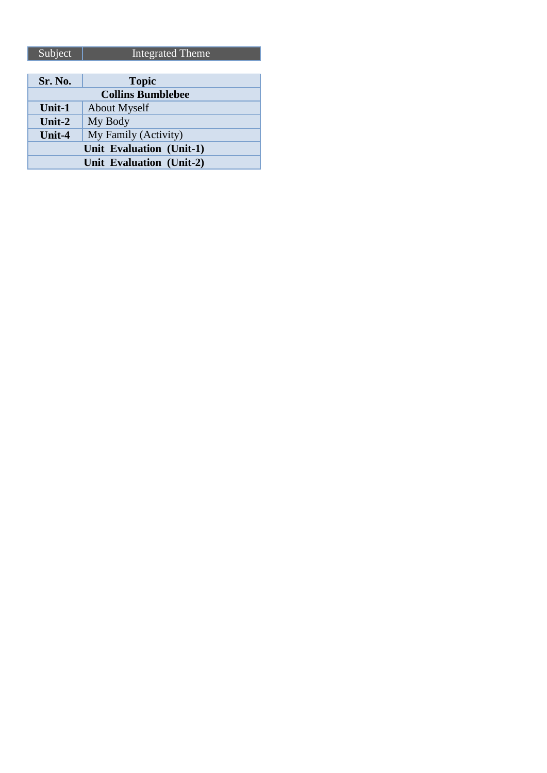| Subject                  | Integrated Theme |  |
|--------------------------|------------------|--|
|                          |                  |  |
| Sr. No.                  | <b>Topic</b>     |  |
| <b>Collins Bumblebee</b> |                  |  |
| Unit- $1$                | About Myself     |  |

**My Family (Activity) Unit Evaluation (Unit-1) Unit Evaluation (Unit-2)**

**Unit-2** My Body<br> **Unit-4** My Family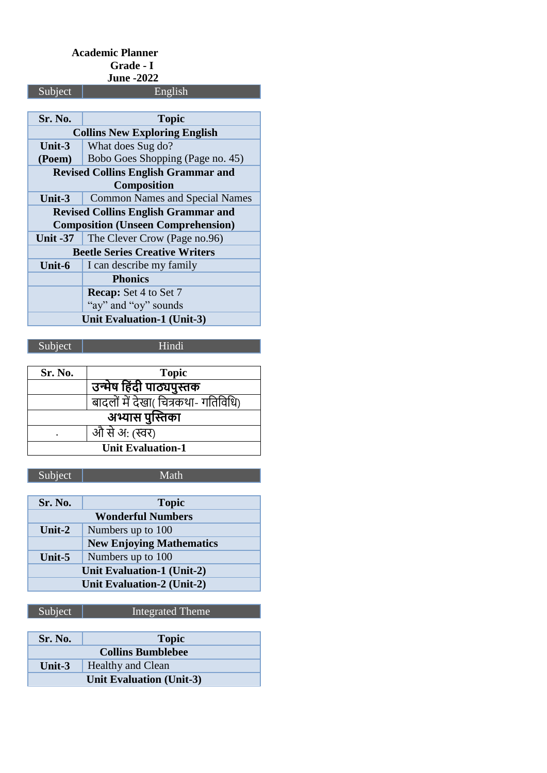#### **Academic Planner Grade - I June -2022**

| Subject                                    | English                                   |  |
|--------------------------------------------|-------------------------------------------|--|
|                                            |                                           |  |
| Sr. No.                                    | <b>Topic</b>                              |  |
| <b>Collins New Exploring English</b>       |                                           |  |
| Unit-3                                     | What does Sug do?                         |  |
| (Poem)                                     | Bobo Goes Shopping (Page no. 45)          |  |
| <b>Revised Collins English Grammar and</b> |                                           |  |
|                                            | <b>Composition</b>                        |  |
| Unit-3                                     | <b>Common Names and Special Names</b>     |  |
| <b>Revised Collins English Grammar and</b> |                                           |  |
|                                            | <b>Composition (Unseen Comprehension)</b> |  |
| <b>Unit -37</b>                            | The Clever Crow (Page no.96)              |  |
| <b>Beetle Series Creative Writers</b>      |                                           |  |
| Unit-6                                     | I can describe my family                  |  |
| <b>Phonics</b>                             |                                           |  |
|                                            | <b>Recap:</b> Set 4 to Set 7              |  |
|                                            | "ay" and "oy" sounds                      |  |
| <b>Unit Evaluation-1 (Unit-3)</b>          |                                           |  |

Subject | Hindi

| Sr. No.                  | <b>Topic</b>                        |  |
|--------------------------|-------------------------------------|--|
|                          | उन्मेष हिंदी पाठ्यपुस्तक            |  |
|                          | बादलों में देखा( चित्रकथा- गतिविधि) |  |
| अभ्यास पुस्तिका          |                                     |  |
|                          | औ से अ: (स्वर)                      |  |
| <b>Unit Evaluation-1</b> |                                     |  |

Subject Math

| <b>Sr. No.</b>                    | <b>Topic</b>                    |
|-----------------------------------|---------------------------------|
| <b>Wonderful Numbers</b>          |                                 |
| Unit- $2$                         | Numbers up to 100               |
|                                   | <b>New Enjoying Mathematics</b> |
| Unit- $5$                         | Numbers up to 100               |
| <b>Unit Evaluation-1 (Unit-2)</b> |                                 |
| Unit Evaluation-2 (Unit-2)        |                                 |

| Sr. No.                         | <b>Topic</b>             |
|---------------------------------|--------------------------|
|                                 | <b>Collins Bumblebee</b> |
| Unit-3                          | <b>Healthy and Clean</b> |
| <b>Unit Evaluation (Unit-3)</b> |                          |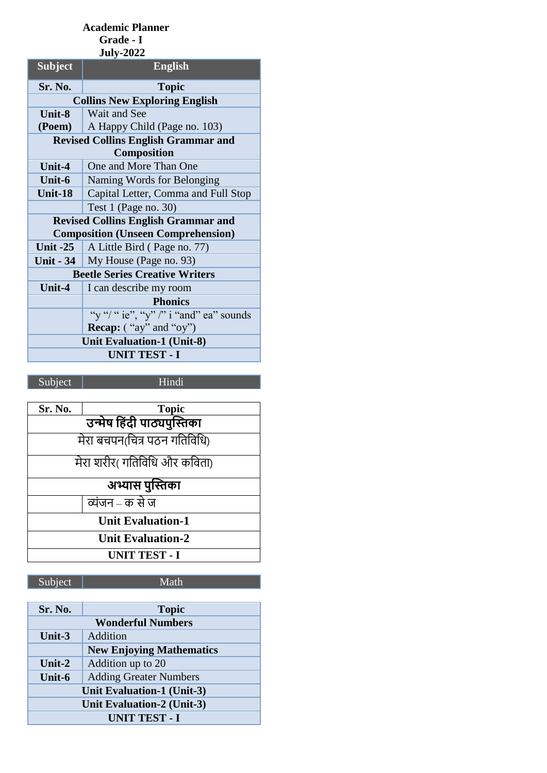### **Academic Planner Grade - I**

| <b>July-2022</b>                           |                                            |  |
|--------------------------------------------|--------------------------------------------|--|
| <b>Subject</b>                             | <b>English</b>                             |  |
| Sr. No.                                    | <b>Topic</b>                               |  |
|                                            | <b>Collins New Exploring English</b>       |  |
| Unit-8                                     | Wait and See                               |  |
| (Poem)                                     | A Happy Child (Page no. 103)               |  |
| <b>Revised Collins English Grammar and</b> |                                            |  |
|                                            | Composition                                |  |
| Unit-4                                     | One and More Than One                      |  |
| Unit-6                                     | Naming Words for Belonging                 |  |
| Unit-18                                    | Capital Letter, Comma and Full Stop        |  |
|                                            | Test $1$ (Page no. 30)                     |  |
|                                            | <b>Revised Collins English Grammar and</b> |  |
|                                            | <b>Composition (Unseen Comprehension)</b>  |  |
| Unit $-25$                                 | A Little Bird (Page no. 77)                |  |
|                                            | <b>Unit - 34</b>   My House (Page no. 93)  |  |
| <b>Beetle Series Creative Writers</b>      |                                            |  |
| Unit-4                                     | I can describe my room                     |  |
|                                            | <b>Phonics</b>                             |  |
|                                            | "y"/" ie", "y"/" i "and" ea" sounds        |  |
|                                            | <b>Recap:</b> $("ay"$ and "oy")            |  |
| <b>Unit Evaluation-1 (Unit-8)</b>          |                                            |  |
| <b>UNIT TEST - I</b>                       |                                            |  |
|                                            |                                            |  |

Subject Hindi

| Sr. No.                      | <b>Topic</b>                |  |
|------------------------------|-----------------------------|--|
| उन्मेष हिंदी पाठ्यपुस्तिका   |                             |  |
| मेरा बचपन(चित्र पठन गतिविधि) |                             |  |
|                              | मेरा शरीर(गतिविधि और कविता) |  |
| अभ्यास पुस्तिका              |                             |  |
|                              | व्यंजन – क से ज             |  |
| <b>Unit Evaluation-1</b>     |                             |  |
| <b>Unit Evaluation-2</b>     |                             |  |
| <b>UNIT TEST - I</b>         |                             |  |

## Subject Math

| Sr. No.                           | <b>Topic</b>                  |
|-----------------------------------|-------------------------------|
| <b>Wonderful Numbers</b>          |                               |
| Unit-3                            | Addition                      |
| <b>New Enjoying Mathematics</b>   |                               |
| Unit- $2$                         | Addition up to 20             |
| Unit-6                            | <b>Adding Greater Numbers</b> |
| <b>Unit Evaluation-1 (Unit-3)</b> |                               |
| Unit Evaluation-2 (Unit-3)        |                               |
| <b>UNIT TEST - I</b>              |                               |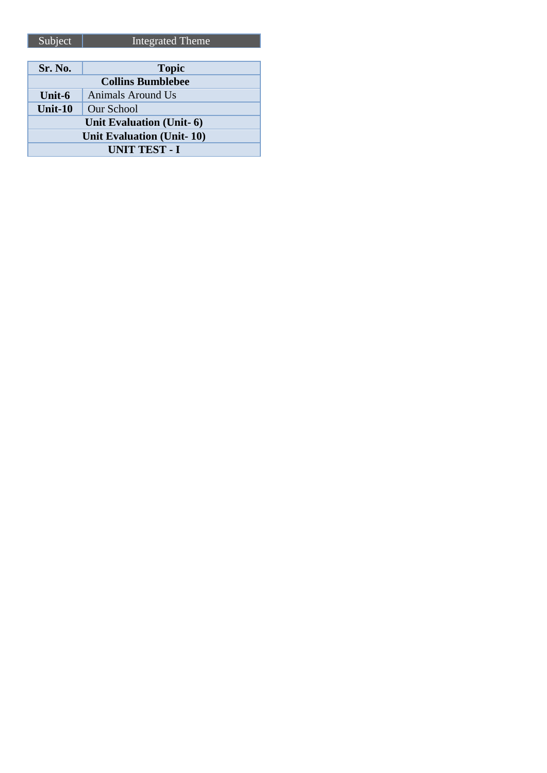| Sr. No.                   | <b>Topic</b>      |
|---------------------------|-------------------|
| <b>Collins Bumblebee</b>  |                   |
| Unit-6                    | Animals Around Us |
| Unit-10                   | Our School        |
| Unit Evaluation (Unit- 6) |                   |
| Unit Evaluation (Unit-10) |                   |
| <b>UNIT TEST - I</b>      |                   |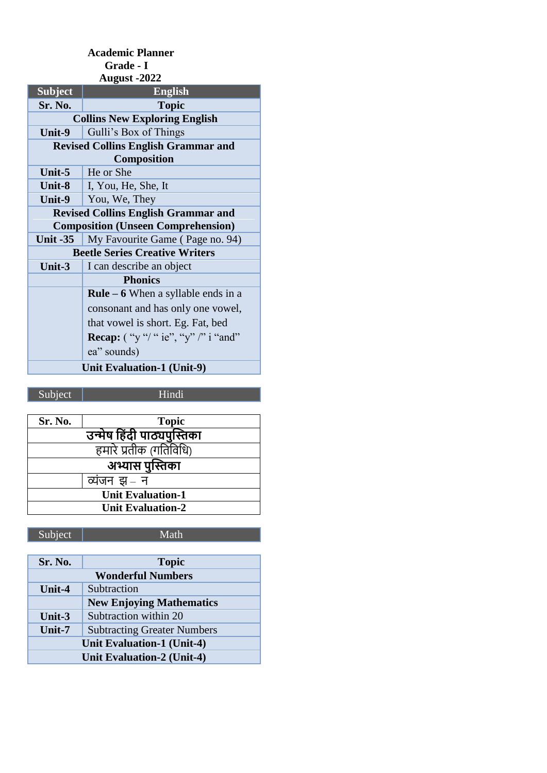| Grade - I                                  |                                           |  |
|--------------------------------------------|-------------------------------------------|--|
| <b>August -2022</b>                        |                                           |  |
| <b>Subject</b>                             | <b>English</b>                            |  |
| Sr. No.                                    | <b>Topic</b>                              |  |
|                                            | <b>Collins New Exploring English</b>      |  |
| Unit-9                                     | Gulli's Box of Things                     |  |
| <b>Revised Collins English Grammar and</b> |                                           |  |
| Composition                                |                                           |  |
| Unit-5                                     | He or She                                 |  |
| Unit-8                                     | I, You, He, She, It                       |  |
| Unit-9                                     | You, We, They                             |  |
| <b>Revised Collins English Grammar and</b> |                                           |  |
| <b>Composition (Unseen Comprehension)</b>  |                                           |  |
| <b>Unit -35</b>                            | My Favourite Game (Page no. 94)           |  |
|                                            | <b>Beetle Series Creative Writers</b>     |  |
| Unit- $3$                                  | I can describe an object                  |  |
|                                            | <b>Phonics</b>                            |  |
|                                            | <b>Rule – 6</b> When a syllable ends in a |  |
|                                            | consonant and has only one vowel,         |  |
|                                            | that vowel is short. Eg. Fat, bed         |  |
|                                            | Recap: ("y"/" ie", "y" /" i "and"         |  |
|                                            | ea" sounds)                               |  |
| <b>Unit Evaluation-1 (Unit-9)</b>          |                                           |  |

 **Academic Planner**

Subject Hindi

| Sr. No.                  | <b>Topic</b>               |
|--------------------------|----------------------------|
|                          | उन्मेष हिंदी पाठ्यपुस्तिका |
|                          | हमारे प्रतीक (गतिविधि)     |
|                          | अभ्यास पुस्तिका            |
|                          | व्यंजन झ– न                |
| <b>Unit Evaluation-1</b> |                            |
| <b>Unit Evaluation-2</b> |                            |
|                          |                            |

## Subject Math

| Sr. No.                           | <b>Topic</b>                       |
|-----------------------------------|------------------------------------|
| <b>Wonderful Numbers</b>          |                                    |
| Unit-4                            | Subtraction                        |
|                                   | <b>New Enjoying Mathematics</b>    |
| Unit- $3$                         | Subtraction within 20              |
| Unit-7                            | <b>Subtracting Greater Numbers</b> |
| <b>Unit Evaluation-1 (Unit-4)</b> |                                    |
| <b>Unit Evaluation-2 (Unit-4)</b> |                                    |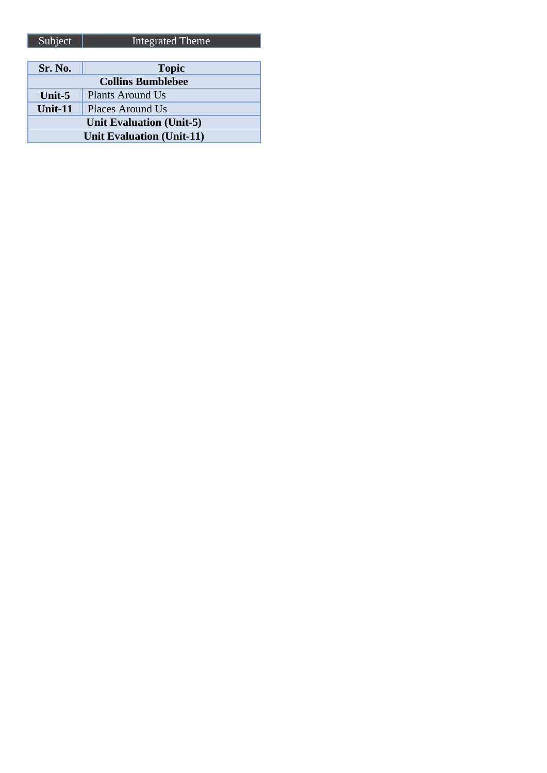| <b>Sr. No.</b>                   | <b>Topic</b>     |
|----------------------------------|------------------|
| <b>Collins Bumblebee</b>         |                  |
| Unit- $5$                        | Plants Around Us |
| Unit-11                          | Places Around Us |
| Unit Evaluation (Unit-5)         |                  |
| <b>Unit Evaluation (Unit-11)</b> |                  |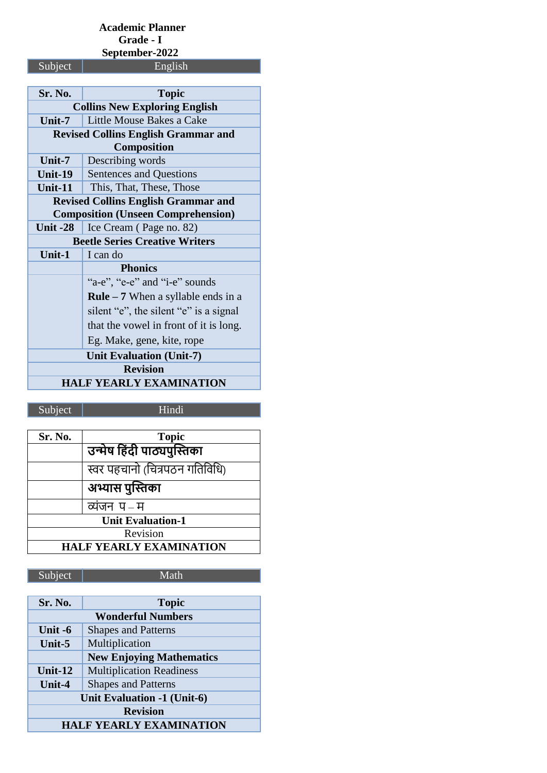# **Academic Planner Grade - I September-2022**

Subject |

| Sr. No.                                    | <b>Topic</b>                               |
|--------------------------------------------|--------------------------------------------|
| <b>Collins New Exploring English</b>       |                                            |
| Unit- $7$                                  | Little Mouse Bakes a Cake                  |
| <b>Revised Collins English Grammar and</b> |                                            |
| Composition                                |                                            |
| Unit-7                                     | Describing words                           |
| Unit-19                                    | Sentences and Questions                    |
| Unit- $11$                                 | This, That, These, Those                   |
|                                            | <b>Revised Collins English Grammar and</b> |
|                                            | <b>Composition (Unseen Comprehension)</b>  |
| Unit $-28$                                 | Ice Cream (Page no. 82)                    |
| <b>Beetle Series Creative Writers</b>      |                                            |
| Unit- $1$                                  | I can do                                   |
|                                            | <b>Phonics</b>                             |
|                                            | "a-e", "e-e" and "i-e" sounds              |
|                                            | <b>Rule</b> $-7$ When a syllable ends in a |
|                                            | silent "e", the silent "e" is a signal     |
|                                            | that the vowel in front of it is long.     |
|                                            | Eg. Make, gene, kite, rope                 |
| <b>Unit Evaluation (Unit-7)</b>            |                                            |
| <b>Revision</b>                            |                                            |
| <b>HALF YEARLY EXAMINATION</b>             |                                            |

Subject Hindi

| Sr. No.                        | <b>Topic</b>                   |
|--------------------------------|--------------------------------|
|                                | उन्मेष हिंदी पाठ्यपुस्तिका     |
|                                | स्वर पहचानो (चित्रपठन गतिविधि) |
|                                | अभ्यास पुस्तिका                |
|                                | व्यंजन प–म                     |
| <b>Unit Evaluation-1</b>       |                                |
| Revision                       |                                |
| <b>HALF YEARLY EXAMINATION</b> |                                |

Subject Math

| Sr. No.                        | <b>Topic</b>                    |
|--------------------------------|---------------------------------|
| <b>Wonderful Numbers</b>       |                                 |
| Unit -6                        | <b>Shapes and Patterns</b>      |
| Unit-5                         | Multiplication                  |
|                                | <b>New Enjoying Mathematics</b> |
| Unit-12                        | <b>Multiplication Readiness</b> |
| Unit-4                         | <b>Shapes and Patterns</b>      |
| Unit Evaluation -1 (Unit-6)    |                                 |
| <b>Revision</b>                |                                 |
| <b>HALF YEARLY EXAMINATION</b> |                                 |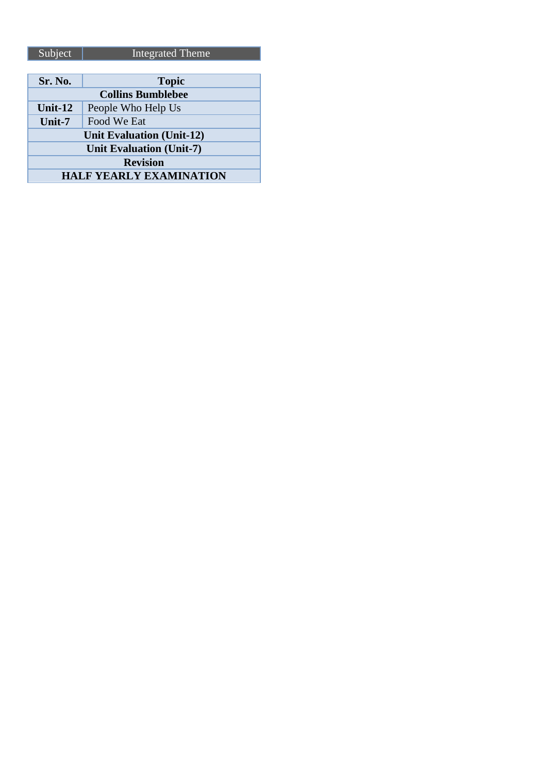| Sr. No.                          | <b>Topic</b>       |
|----------------------------------|--------------------|
| <b>Collins Bumblebee</b>         |                    |
| Unit- $12$                       | People Who Help Us |
| Unit-7                           | Food We Eat        |
| <b>Unit Evaluation (Unit-12)</b> |                    |
| <b>Unit Evaluation (Unit-7)</b>  |                    |
| <b>Revision</b>                  |                    |
| <b>HALF YEARLY EXAMINATION</b>   |                    |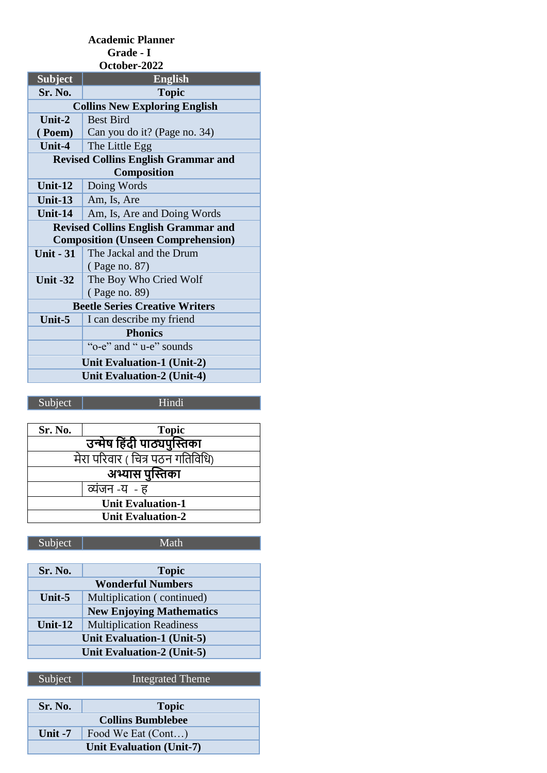#### **Academic Planner Grade - I October-2022**

| ULWIJTI "4044                              |                                            |  |
|--------------------------------------------|--------------------------------------------|--|
| <b>Subject</b>                             | <b>English</b>                             |  |
| Sr. No.                                    | <b>Topic</b>                               |  |
|                                            | <b>Collins New Exploring English</b>       |  |
| Unit- $2$                                  | <b>Best Bird</b>                           |  |
|                                            | <b>(Poem)</b> Can you do it? (Page no. 34) |  |
| Unit-4                                     | The Little Egg                             |  |
| <b>Revised Collins English Grammar and</b> |                                            |  |
| <b>Composition</b>                         |                                            |  |
| Unit- $12$                                 | Doing Words                                |  |
| Unit- $13$                                 | Am, Is, Are                                |  |
| Unit-14                                    | Am, Is, Are and Doing Words                |  |
| <b>Revised Collins English Grammar and</b> |                                            |  |
| <b>Composition (Unseen Comprehension)</b>  |                                            |  |
| <b>Unit - 31</b>                           | The Jackal and the Drum                    |  |
|                                            | (Page no. 87)                              |  |
| Unit $-32$                                 | The Boy Who Cried Wolf                     |  |
|                                            | (Page no. 89)                              |  |
| <b>Beetle Series Creative Writers</b>      |                                            |  |
| Unit-5                                     | I can describe my friend                   |  |
|                                            | <b>Phonics</b>                             |  |
|                                            | "o-e" and " u-e" sounds                    |  |
| Unit Evaluation-1 (Unit-2)                 |                                            |  |
| <b>Unit Evaluation-2 (Unit-4)</b>          |                                            |  |
|                                            |                                            |  |

# Subject Hindi

| Sr. No.                          | <b>Topic</b> |  |
|----------------------------------|--------------|--|
| उन्मेष हिंदी पाठ्यपुस्तिका       |              |  |
| मेरा परिवार ( चित्र पठन गतिविधि) |              |  |
| अभ्यास पुस्तिका                  |              |  |
| व्यंजन -य - ह                    |              |  |
| <b>Unit Evaluation-1</b>         |              |  |
| <b>Unit Evaluation-2</b>         |              |  |

Subject Math

| Sr. No.                    | <b>Topic</b>                    |
|----------------------------|---------------------------------|
| <b>Wonderful Numbers</b>   |                                 |
| Unit- $5$                  | Multiplication (continued)      |
|                            | <b>New Enjoying Mathematics</b> |
| Unit- $12$                 | <b>Multiplication Readiness</b> |
| Unit Evaluation-1 (Unit-5) |                                 |
| Unit Evaluation-2 (Unit-5) |                                 |
|                            |                                 |

| <b>Sr. No.</b>           | <b>Topic</b>       |
|--------------------------|--------------------|
| <b>Collins Bumblebee</b> |                    |
| Unit $-7$                | Food We Eat (Cont) |
| Unit Evaluation (Unit-7) |                    |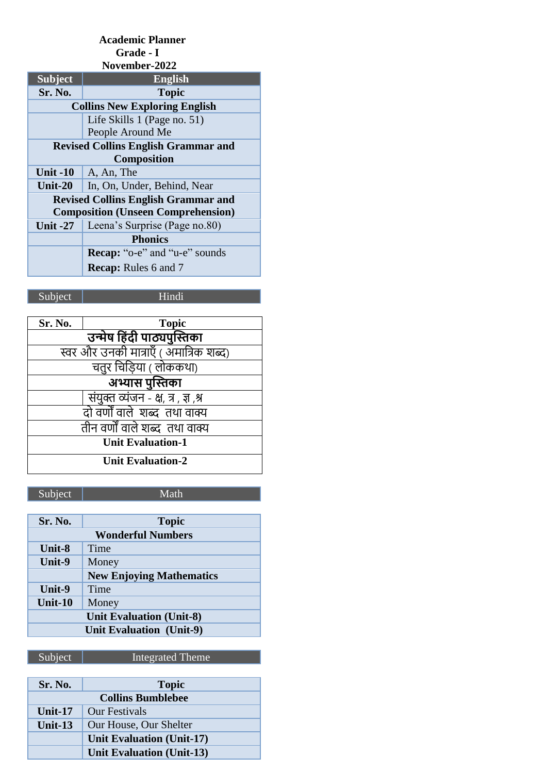## **Academic Planner Grade - I**

| November-2022                              |                                      |  |
|--------------------------------------------|--------------------------------------|--|
| <b>Subject</b>                             | <b>English</b>                       |  |
| Sr. No.                                    | <b>Topic</b>                         |  |
|                                            | <b>Collins New Exploring English</b> |  |
|                                            | Life Skills 1 (Page no. 51)          |  |
|                                            | People Around Me                     |  |
| <b>Revised Collins English Grammar and</b> |                                      |  |
| <b>Composition</b>                         |                                      |  |
| <b>Unit -10</b>                            | A, An, The                           |  |
| <b>Unit-20</b>                             | In, On, Under, Behind, Near          |  |
| <b>Revised Collins English Grammar and</b> |                                      |  |
| <b>Composition (Unseen Comprehension)</b>  |                                      |  |
| <b>Unit -27</b>                            | Leena's Surprise (Page no.80)        |  |
|                                            | <b>Phonics</b>                       |  |
|                                            | <b>Recap:</b> "o-e" and "u-e" sounds |  |
|                                            | <b>Recap:</b> Rules 6 and 7          |  |

Subject Hindi

| Sr. No.<br><b>Topic</b>                |  |  |
|----------------------------------------|--|--|
| उन्मेष हिंदी पाठ्यपुस्तिका             |  |  |
| स्वर और उनकी मात्राएँ ( अमात्रिक शब्द) |  |  |
| चतुर चिड़िया ( लोककथा)                 |  |  |
| अभ्यास पुस्तिका                        |  |  |
|                                        |  |  |
| दो वर्णों वाले शब्द तथा वाक्य          |  |  |
| तीन वर्णों वाले शब्द तथा वाक्य         |  |  |
| <b>Unit Evaluation-1</b>               |  |  |
| <b>Unit Evaluation-2</b>               |  |  |
| संयुक्त व्यंजन - क्ष, त्र , ज्ञ ,श्र   |  |  |

Subject Math

| Sr. No.                         | <b>Topic</b>                    |
|---------------------------------|---------------------------------|
| <b>Wonderful Numbers</b>        |                                 |
| <b>Unit-8</b>                   | Time                            |
| Unit-9                          | Money                           |
|                                 | <b>New Enjoying Mathematics</b> |
| Unit-9                          | Time                            |
| <b>Unit-10</b>                  | Money                           |
| <b>Unit Evaluation (Unit-8)</b> |                                 |
| <b>Unit Evaluation (Unit-9)</b> |                                 |

| Sr. No.                  | <b>Topic</b>                     |
|--------------------------|----------------------------------|
| <b>Collins Bumblebee</b> |                                  |
| Unit-17                  | <b>Our Festivals</b>             |
| Unit- $13$               | Our House, Our Shelter           |
|                          | Unit Evaluation (Unit-17)        |
|                          | <b>Unit Evaluation (Unit-13)</b> |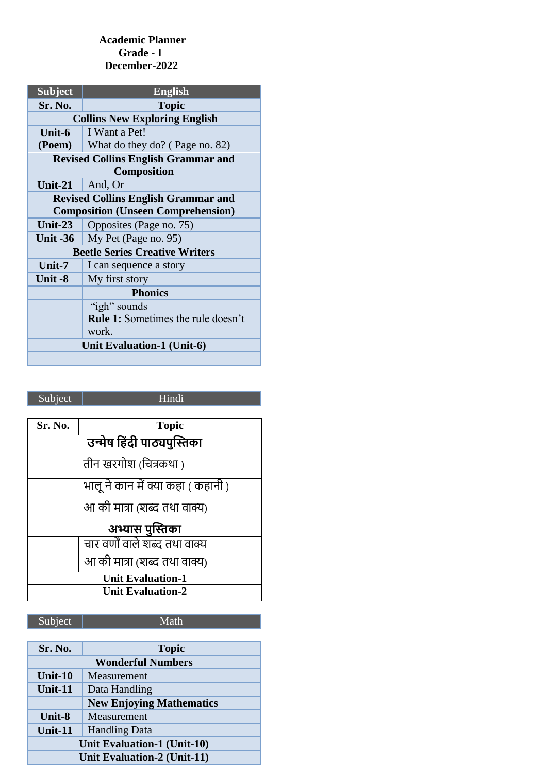#### **Academic Planner Grade - I December-2022**

| <b>Subject</b>                             | <b>English</b>                            |  |
|--------------------------------------------|-------------------------------------------|--|
| Sr. No.                                    | <b>Topic</b>                              |  |
|                                            | <b>Collins New Exploring English</b>      |  |
| Unit-6                                     | I Want a Pet!                             |  |
| (Poem)                                     | What do they do? (Page no. 82)            |  |
| <b>Revised Collins English Grammar and</b> |                                           |  |
| Composition                                |                                           |  |
| Unit- $21$                                 | And, Or                                   |  |
| <b>Revised Collins English Grammar and</b> |                                           |  |
| <b>Composition (Unseen Comprehension)</b>  |                                           |  |
| Unit- $23$                                 | Opposites (Page no. 75)                   |  |
| <b>Unit -36</b>                            | My Pet (Page no. 95)                      |  |
| <b>Beetle Series Creative Writers</b>      |                                           |  |
| Unit-7                                     | I can sequence a story                    |  |
| Unit -8                                    | My first story                            |  |
| <b>Phonics</b>                             |                                           |  |
|                                            | "igh" sounds                              |  |
|                                            | <b>Rule 1:</b> Sometimes the rule doesn't |  |
|                                            | work.                                     |  |
| Unit Evaluation-1 (Unit-6)                 |                                           |  |
|                                            |                                           |  |

# Subject Hindi

| Sr. No.                    | <b>Topic</b>                       |  |  |
|----------------------------|------------------------------------|--|--|
| उन्मेष हिंदी पाठ्यपुस्तिका |                                    |  |  |
|                            | तीन खरगोश (चित्रकथा)               |  |  |
|                            | भालू ने कान में क्या कहा ( कहानी ) |  |  |
|                            | आ की मात्रा (शब्द तथा वाक्य)       |  |  |
|                            | अभ्यास पुस्तिका                    |  |  |
|                            | चार वर्णों वाले शब्द तथा वाक्य     |  |  |
|                            | आ की मात्रा (शब्द तथा वाक्य)       |  |  |
| <b>Unit Evaluation-1</b>   |                                    |  |  |
| <b>Unit Evaluation-2</b>   |                                    |  |  |

## Subject | Math

| <b>Sr. No.</b>                     | <b>Topic</b>                    |  |
|------------------------------------|---------------------------------|--|
|                                    | <b>Wonderful Numbers</b>        |  |
| Unit-10                            | Measurement                     |  |
| Unit-11                            | Data Handling                   |  |
|                                    | <b>New Enjoying Mathematics</b> |  |
| Unit-8                             | Measurement                     |  |
| Unit-11                            | <b>Handling Data</b>            |  |
| <b>Unit Evaluation-1 (Unit-10)</b> |                                 |  |
| <b>Unit Evaluation-2 (Unit-11)</b> |                                 |  |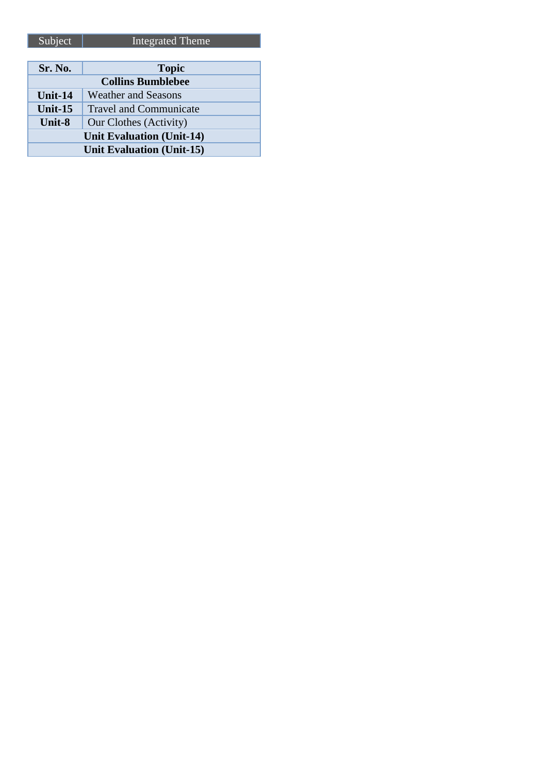| Sr. No.                          | <b>Topic</b>                  |
|----------------------------------|-------------------------------|
| <b>Collins Bumblebee</b>         |                               |
| <b>Unit-14</b>                   | <b>Weather and Seasons</b>    |
| Unit-15                          | <b>Travel and Communicate</b> |
| Unit-8                           | Our Clothes (Activity)        |
| <b>Unit Evaluation (Unit-14)</b> |                               |
| <b>Unit Evaluation (Unit-15)</b> |                               |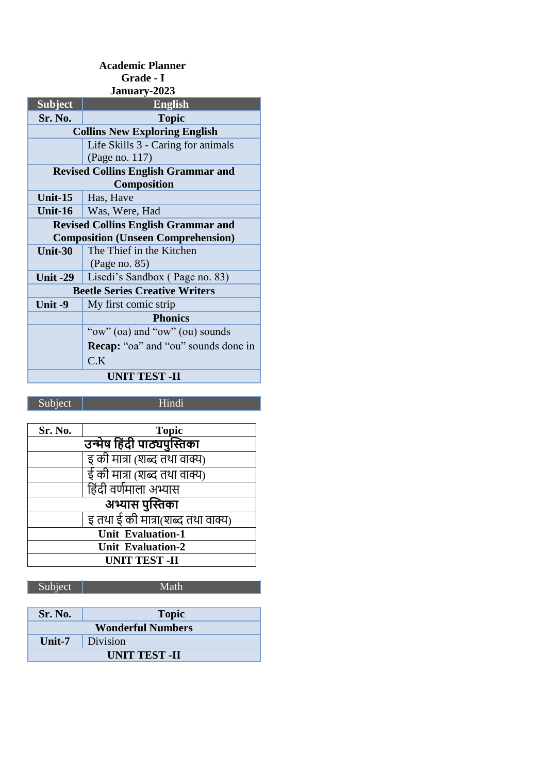| <b>Academic Planner</b>                    |                                            |  |
|--------------------------------------------|--------------------------------------------|--|
| Grade - I                                  |                                            |  |
|                                            | January-2023                               |  |
| <b>Subject</b>                             | <b>English</b>                             |  |
| Sr. No.                                    | <b>Topic</b>                               |  |
|                                            | <b>Collins New Exploring English</b>       |  |
|                                            | Life Skills 3 - Caring for animals         |  |
|                                            | (Page no. 117)                             |  |
| <b>Revised Collins English Grammar and</b> |                                            |  |
| Composition                                |                                            |  |
| Unit- $15$                                 | Has, Have                                  |  |
| Unit- $16$                                 | Was, Were, Had                             |  |
|                                            | <b>Revised Collins English Grammar and</b> |  |
|                                            | <b>Composition (Unseen Comprehension)</b>  |  |
| Unit-30                                    | The Thief in the Kitchen                   |  |
|                                            | (Page no. 85)                              |  |
| <b>Unit -29</b>                            | Lisedi's Sandbox (Page no. 83)             |  |
|                                            | <b>Beetle Series Creative Writers</b>      |  |
| Unit -9                                    | My first comic strip                       |  |
|                                            | <b>Phonics</b>                             |  |
|                                            | "ow" (oa) and "ow" (ou) sounds             |  |
|                                            | Recap: "oa" and "ou" sounds done in        |  |
|                                            | C.K                                        |  |
| <b>UNIT TEST -II</b>                       |                                            |  |

Subject Hindi

| Sr. No.                      | <b>Topic</b>                      |
|------------------------------|-----------------------------------|
| उन्मेष हिंदी पाठ्यपुस्तिका   |                                   |
| इ की मात्रा (शब्द तथा वाक्य) |                                   |
|                              | ई की मात्रा (शब्द तथा वाक्य)      |
|                              | हिंदी वर्णमाला अभ्यास             |
| अभ्यास पुस्तिका              |                                   |
|                              | इ तथा ई की मात्रा(शब्द तथा वाक्य) |
| <b>Unit Evaluation-1</b>     |                                   |
| <b>Unit Evaluation-2</b>     |                                   |
| <b>UNIT TEST -II</b>         |                                   |

| Subject                  | Math         |
|--------------------------|--------------|
|                          |              |
| <b>Sr. No.</b>           | <b>Topic</b> |
| <b>Wonderful Numbers</b> |              |
| Unit-7                   | Division     |
| <b>UNIT TEST -II</b>     |              |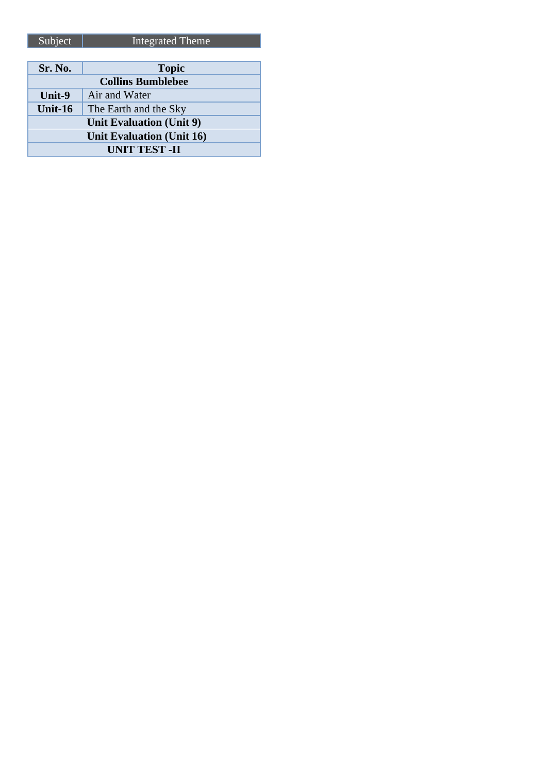| Sr. No.                         | <b>Topic</b>          |
|---------------------------------|-----------------------|
| <b>Collins Bumblebee</b>        |                       |
| Unit-9                          | Air and Water         |
| Unit- $16$                      | The Earth and the Sky |
| <b>Unit Evaluation (Unit 9)</b> |                       |
| Unit Evaluation (Unit 16)       |                       |
| <b>UNIT TEST -II</b>            |                       |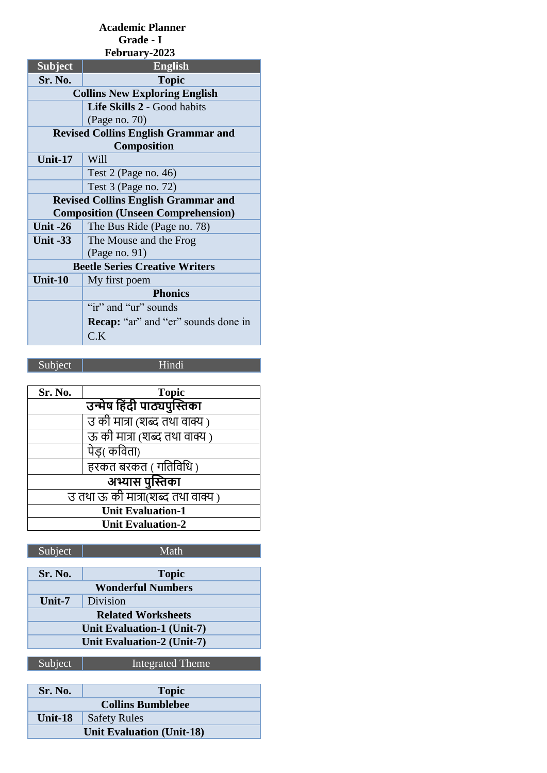| <b>Academic Planner</b>                    |                                            |
|--------------------------------------------|--------------------------------------------|
| Grade - I                                  |                                            |
|                                            | February-2023                              |
| <b>Subject</b>                             | <b>English</b>                             |
| Sr. No.                                    | <b>Topic</b>                               |
|                                            | <b>Collins New Exploring English</b>       |
|                                            | Life Skills 2 - Good habits                |
|                                            | (Page no. 70)                              |
| <b>Revised Collins English Grammar and</b> |                                            |
|                                            | Composition                                |
| Unit-17                                    | Will                                       |
|                                            | Test $2$ (Page no. 46)                     |
|                                            | Test $3$ (Page no. 72)                     |
|                                            | <b>Revised Collins English Grammar and</b> |
|                                            | <b>Composition (Unseen Comprehension)</b>  |
| Unit $-26$                                 | The Bus Ride (Page no. 78)                 |
| Unit $-33$                                 | The Mouse and the Frog                     |
|                                            | (Page no. 91)                              |
| <b>Beetle Series Creative Writers</b>      |                                            |
| Unit-10                                    | My first poem                              |
|                                            | <b>Phonics</b>                             |
|                                            | "ir" and "ur" sounds                       |
|                                            | <b>Recap:</b> "ar" and "er" sounds done in |
|                                            | C.K                                        |

Subject Hindi

| Sr. No.                             | <b>Topic</b>                  |
|-------------------------------------|-------------------------------|
| उन्मेष हिंदी पाठ्यपुस्तिका          |                               |
|                                     | उ की मात्रा (शब्द तथा वाक्य ) |
|                                     | ऊ की मात्रा (शब्द तथा वाक्य ) |
|                                     | पेड( कविता)                   |
|                                     | हरकत बरकत ( गतिविधि )         |
| अभ्यास पुस्तिका                     |                               |
| उ तथा ऊँ की मात्रा(शब्द तथा वाक्य ) |                               |
| <b>Unit Evaluation-1</b>            |                               |
| <b>Unit Evaluation-2</b>            |                               |

| Subject                    | Math         |
|----------------------------|--------------|
|                            |              |
| Sr. No.                    | <b>Topic</b> |
| <b>Wonderful Numbers</b>   |              |
| Unit- $7$                  | Division     |
| <b>Related Worksheets</b>  |              |
| Unit Evaluation-1 (Unit-7) |              |
| Unit Evaluation-2 (Unit-7) |              |
|                            |              |

| Sr. No.                          | <b>Topic</b>        |
|----------------------------------|---------------------|
| <b>Collins Bumblebee</b>         |                     |
| Unit-18                          | <b>Safety Rules</b> |
| <b>Unit Evaluation (Unit-18)</b> |                     |